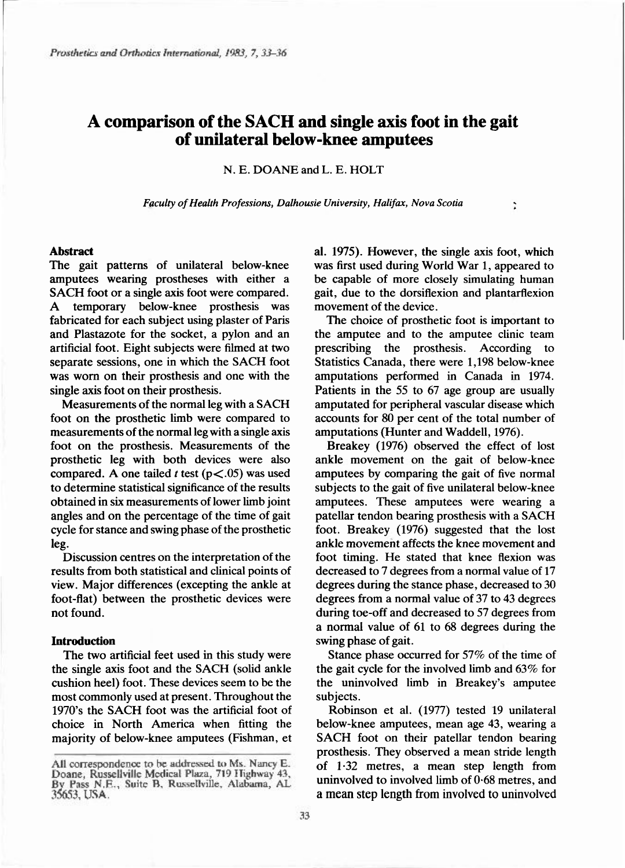# A comparison of the SACH and single axis foot in the gait of unilateral below-knee amputees

N. E. DOANE and L. E. HOLT

*Faculty of Health Professions, Dalhousie University, Halifax, Nova Scotia* 

#### Abstract

The gait patterns of unilateral below-knee amputees wearing prostheses with either a SACH foot or a single axis foot were compared. A temporary below-knee prosthesis was fabricated for each subject using plaster of Paris and Plastazote for the socket, a pylon and an artificial foot. Eight subjects were filmed at two separate sessions, one in which the SACH foot was worn on their prosthesis and one with the single axis foot on their prosthesis.

Measurements of the normal leg with a SACH foot on the prosthetic limb were compared to measurements of the normal leg with a single axis foot on the prosthesis. Measurements of the prosthetic leg with both devices were also compared. A one tailed *t* test ( $p \lt 0.05$ ) was used to determine statistical significance of the results obtained in six measurements of lower limb joint angles and on the percentage of the time of gait cycle for stance and swing phase of the prosthetic leg.

Discussion centres on the interpretation of the results from both statistical and clinical points of view. Major differences (excepting the ankle at foot-flat) between the prosthetic devices were not found.

#### Introduction

The two artificial feet used in this study were the single axis foot and the SACH (solid ankle cushion heel) foot. These devices seem to be the most commonly used at present. Throughout the 1970's the SACH foot was the artificial foot of choice in North America when fitting the majority of below-knee amputees (Fishman, et

al. 1975). However, the single axis foot, which was first used during World War 1, appeared to be capable of more closely simulating human gait, due to the dorsiflexion and plantarflexion movement of the device.

 $\ddot{\cdot}$ 

The choice of prosthetic foot is important to the amputee and to the amputee clinic team prescribing the prosthesis. According to Statistics Canada, there were 1,198 below-knee amputations performed in Canada in 1974. Patients in the 55 to 67 age group are usually amputated for peripheral vascular disease which accounts for 80 per cent of the total number of amputations (Hunter and Waddell, 1976).

Breakey (1976) observed the effect of lost ankle movement on the gait of below-knee amputees by comparing the gait of five normal subjects to the gait of five unilateral below-knee amputees. These amputees were wearing a patellar tendon bearing prosthesis with a SACH foot. Breakey (1976) suggested that the lost ankle movement affects the knee movement and foot timing. He stated that knee flexion was decreased to 7 degrees from a normal value of 17 degrees during the stance phase, decreased to 30 degrees from a normal value of 37 to 43 degrees during toe-off and decreased to 57 degrees from a normal value of 61 to 68 degrees during the swing phase of gait.

Stance phase occurred for 57% of the time of the gait cycle for the involved limb and  $63\%$  for the uninvolved limb in Breakey's amputee subjects.

Robinson et al. (1977) tested 19 unilateral below-knee amputees, mean age 43, wearing a SACH foot on their patellar tendon bearing prosthesis. They observed a mean stride length of  $1.32$  metres, a mean step length from uninvolved to involved limb of 0.68 metres, and a mean step length from involved to uninvolved

All correspondence to be addressed to Ms. Nancy E. Doane, Russellville Medical Plaza, 719 Highway 43, By Pass N.E., Suite B. Russellville, Alabama, AL 35653, USA.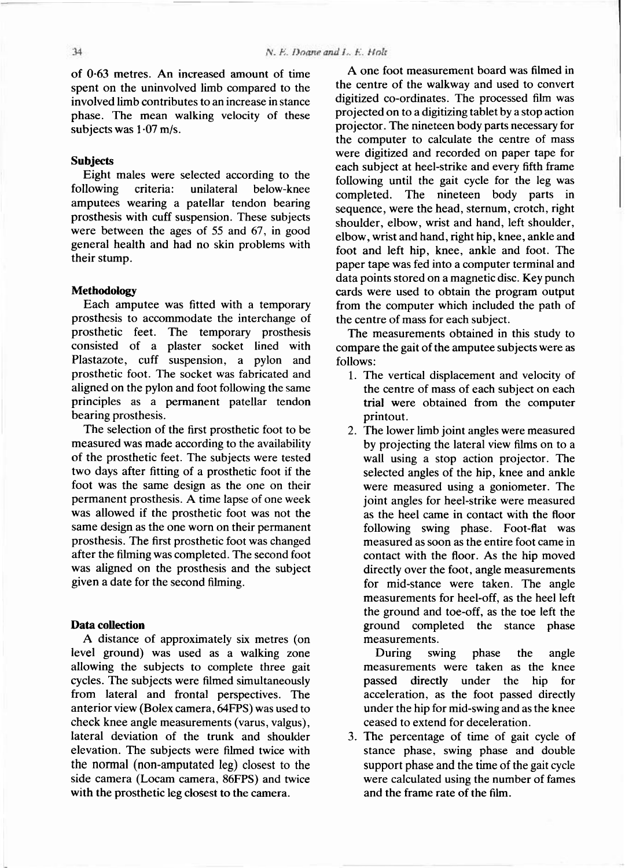of  $0.63$  metres. An increased amount of time spent on the uninvolved limb compared to the involved limb contributes to an increase in stance phase. The mean walking velocity of these subjects was  $1.07$  m/s.

# **Subjects**

Eight males were selected according to the following criteria: unilateral below-knee amputees wearing a patellar tendon bearing prosthesis with cuff suspension. These subjects were between the ages of 55 and 67, in good general health and had no skin problems with their stump.

### Methodology

Each amputee was fitted with a temporary prosthesis to accommodate the interchange of prosthetic feet. The temporary prosthesis consisted of a plaster socket lined with Plastazote, cuff suspension, a pylon and prosthetic foot. The socket was fabricated and aligned on the pylon and foot following the same principles as a permanent patellar tendon bearing prosthesis.

The selection of the first prosthetic foot to be measured was made according to the availability of the prosthetic feet. The subjects were tested two days after fitting of a prosthetic foot if the foot was the same design as the one on their permanent prosthesis. A time lapse of one week was allowed if the prosthetic foot was not the same design as the one worn on their permanent prosthesis. The first prosthetic foot was changed after the filming was completed. The second foot was aligned on the prosthesis and the subject given a date for the second filming.

#### Data collection

A distance of approximately six metres (on level ground) was used as a walking zone allowing the subjects to complete three gait cycles. The subjects were filmed simultaneously from lateral and frontal perspectives. The anterior view (Bolex camera, 64FPS) was used to check knee angle measurements (varus, valgus), lateral deviation of the trunk and shoulder elevation. The subjects were filmed twice with the normal (non-amputated leg) closest to the side camera (Locam camera, 86FPS) and twice with the prosthetic leg closest to the camera.

A one foot measurement board was filmed in the centre of the walkway and used to convert digitized co-ordinates. The processed film was projected on to a digitizing tablet by a stop action projector. The nineteen body parts necessary for the computer to calculate the centre of mass were digitized and recorded on paper tape for each subject at heel-strike and every fifth frame following until the gait cycle for the leg was completed. The nineteen body parts in sequence , were the head, sternum, crotch, right shoulder, elbow, wrist and hand, left shoulder, elbow, wrist and hand, right hip, knee , ankle and foot and left hip, knee, ankle and foot. The paper tape was fed into a computer terminal and data points stored on a magnetic disc. Key punch cards were used to obtain the program output from the computer which included the path of the centre of mass for each subject.

The measurements obtained in this study to compare the gait of the amputee subjects were as follows:

- 1. The vertical displacement and velocity of the centre of mass of each subject on each trial were obtained from the computer printout.
- 2. The lower limb joint angles were measured by projecting the lateral view films on to a wall using a stop action projector. The selected angles of the hip, knee and ankle were measured using a goniometer. The joint angles for heel-strike were measured as the heel came in contact with the floor following swing phase. Foot-flat was measured as soon as the entire foot came in contact with the floor. As the hip moved directly over the foot, angle measurements for mid-stance were taken. The angle measurements for heel-off, as the heel left the ground and toe-off, as the toe left the ground completed the stance phase measurements.

During swing phase the angle measurements were taken as the knee passed directly under the hip for acceleration, as the foot passed directly under the hip for mid-swing and as the knee ceased to extend for deceleration.

3. The percentage of time of gait cycle of stance phase, swing phase and double support phase and the time of the gait cycle were calculated using the number of fames and the frame rate of the film.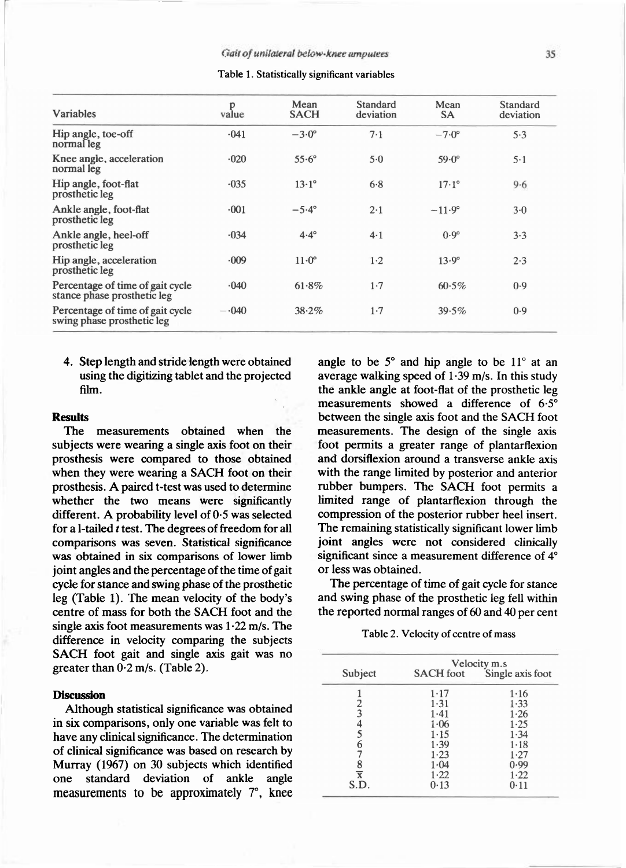| <b>Variables</b>                                                | p<br>value | Mean<br><b>SACH</b> | Standard<br>deviation | Mean<br><b>SA</b> | Standard<br>deviation |
|-----------------------------------------------------------------|------------|---------------------|-----------------------|-------------------|-----------------------|
| Hip angle, toe-off<br>normal leg                                | $-041$     | $-3.0^\circ$        | $7 - 1$               | $-7.0^{\circ}$    | 5.3                   |
| Knee angle, acceleration<br>normal leg                          | $-020$     | $55.6^\circ$        | $5-0$                 | $59.0^\circ$      | $5-1$                 |
| Hip angle, foot-flat<br>prosthetic leg                          | $-035$     | $13.1^{\circ}$      | $6 - 8$               | $17.1^{\circ}$    | 9.6                   |
| Ankle angle, foot-flat<br>prosthetic leg                        | $-001$     | $-5.4^{\circ}$      | 2.1                   | $-11.9^{\circ}$   | $3-0$                 |
| Ankle angle, heel-off<br>prosthetic leg                         | $-034$     | $4.4^{\circ}$       | $4 - 1$               | $0.9^\circ$       | 3.3                   |
| Hip angle, acceleration<br>prosthetic leg                       | 009        | $11 \cdot 0^\circ$  | $1 - 2$               | $13.9^\circ$      | 2.3                   |
| Percentage of time of gait cycle<br>stance phase prosthetic leg | $-040$     | 61.8%               | 1.7                   | 60.5%             | 0.9                   |
| Percentage of time of gait cycle<br>swing phase prosthetic leg  | $-.040$    | 38.2%               | $1 - 7$               | 39.5%             | 0.9                   |

4. Step length and stride length were obtained using the digitizing tablet and the projected film.

#### **Results**

The measurements obtained when the subjects were wearing a single axis foot on their prosthesis were compared to those obtained when they were wearing a SACH foot on their prosthesis. A paired t-test was used to determine whether the two means were significantly different. A probability level of 0.5 was selected for a 1-tailed *t* test. The degrees of freedom for all comparisons was seven. Statistical significance was obtained in six comparisons of lower limb joint angles and the percentage of the time of gait cycle for stance and swing phase of the prosthetic leg (Table 1). The mean velocity of the body's centre of mass for both the SACH foot and the single axis foot measurements was  $1.22$  m/s. The difference in velocity comparing the subjects SACH foot gait and single axis gait was no greater than  $0.2$  m/s. (Table 2).

### **Discussion**

Although statistical significance was obtained in six comparisons, only one variable was felt to have any clinical significance. The determination of clinical significance was based on research by Murray (1967) on 30 subjects which identified one standard deviation of ankle angle measurements to be approximately 7°, knee

angle to be  $5^\circ$  and hip angle to be  $11^\circ$  at an average walking speed of  $1.39$  m/s. In this study the ankle angle at foot-flat of the prosthetic leg measurements showed a difference of 6.5° between the single axis foot and the SACH foot measurements. The design of the single axis foot permits a greater range of plantarflexion and dorsiflexion around a transverse ankle axis with the range limited by posterior and anterior rubber bumpers. The SACH foot permits a limited range of plantarflexion through the compression of the posterior rubber heel insert. The remaining statistically significant lower limb joint angles were not considered clinically significant since a measurement difference of 4° or less was obtained.

The percentage of time of gait cycle for stance and swing phase of the prosthetic leg fell within the reported normal ranges of 60 and 40 per cent

Table 2. Velocity of centre of mass

|                | Velocity m.s     |                  |  |  |
|----------------|------------------|------------------|--|--|
| Subject        | <b>SACH</b> foot | Single axis foot |  |  |
|                | 1.17             | 1.16             |  |  |
|                | 1.31             | 1.33             |  |  |
| $\frac{2}{3}$  | 1.41             | 1.26             |  |  |
| 4              | 1.06             | 1.25             |  |  |
| 5              | $1 - 15$         | 1.34             |  |  |
| $\overline{6}$ | 1.39             | $1 - 18$         |  |  |
|                | $1 - 23$         | 1.27             |  |  |
| 8              | 1.04             | 0.99             |  |  |
| $\overline{x}$ | 1.22             | $1 - 22$         |  |  |
| S.D.           | 0.13             | 0.11             |  |  |